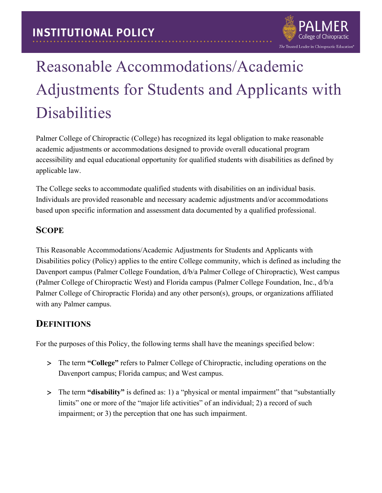

# Reasonable Accommodations/Academic Adjustments for Students and Applicants with Disabilities

Palmer College of Chiropractic (College) has recognized its legal obligation to make reasonable academic adjustments or accommodations designed to provide overall educational program accessibility and equal educational opportunity for qualified students with disabilities as defined by applicable law.

The College seeks to accommodate qualified students with disabilities on an individual basis. Individuals are provided reasonable and necessary academic adjustments and/or accommodations based upon specific information and assessment data documented by a qualified professional.

## **SCOPE**

This Reasonable Accommodations/Academic Adjustments for Students and Applicants with Disabilities policy (Policy) applies to the entire College community, which is defined as including the Davenport campus (Palmer College Foundation, d/b/a Palmer College of Chiropractic), West campus (Palmer College of Chiropractic West) and Florida campus (Palmer College Foundation, Inc., d/b/a Palmer College of Chiropractic Florida) and any other person(s), groups, or organizations affiliated with any Palmer campus.

## **DEFINITIONS**

For the purposes of this Policy, the following terms shall have the meanings specified below:

- > The term **"College"** refers to Palmer College of Chiropractic, including operations on the Davenport campus; Florida campus; and West campus.
- > The term **"disability"** is defined as: 1) a "physical or mental impairment" that "substantially limits" one or more of the "major life activities" of an individual; 2) a record of such impairment; or 3) the perception that one has such impairment.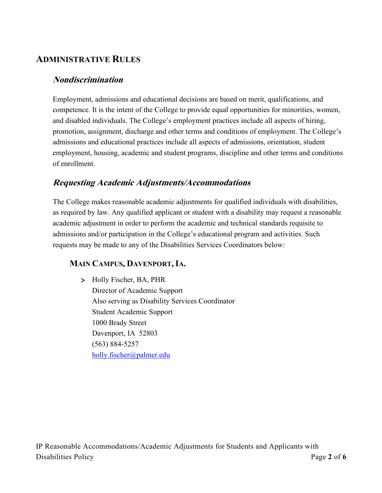## **ADMINISTRATIVE RULES**

#### **Nondiscrimination**

Employment, admissions and educational decisions are based on merit, qualifications, and competence. It is the intent of the College to provide equal opportunities for minorities, women, and disabled individuals. The College's employment practices include all aspects of hiring, promotion, assignment, discharge and other terms and conditions of employment. The College's admissions and educational practices include all aspects of admissions, orientation, student employment, housing, academic and student programs, discipline and other terms and conditions of enrollment.

## **Requesting Academic Adjustments/Accommodations**

The College makes reasonable academic adjustments for qualified individuals with disabilities, as required by law. Any qualified applicant or student with a disability may request a reasonable academic adjustment in order to perform the academic and technical standards requisite to admissions and/or participation in the College's educational program and activities. Such requests may be made to any of the Disabilities Services Coordinators below:

## **MAIN CAMPUS, DAVENPORT,IA.**

> Holly Fischer, BA, PHR Director of Academic Support Also serving as Disability Services Coordinator Student Academic Support 1000 Brady Street Davenport, IA 52803 (563) 884-5257 [holly.fischer@palmer.edu](mailto:holly.fischer@palmer.edu)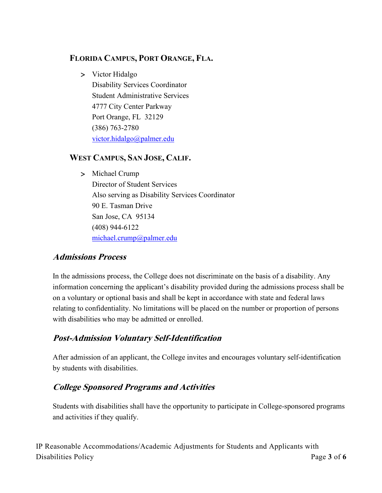#### **FLORIDA CAMPUS, PORT ORANGE, FLA.**

> Victor Hidalgo Disability Services Coordinator Student Administrative Services 4777 City Center Parkway Port Orange, FL 32129 (386) 763-2780 [victor.hidalgo@palmer.edu](mailto:victor.hidalgo@palmer.edu)

#### **WEST CAMPUS, SAN JOSE, CALIF.**

#### > Michael Crump

Director of Student Services Also serving as Disability Services Coordinator 90 E. Tasman Drive San Jose, CA 95134 (408) 944-6122 michael.crump@palmer.edu

## **Admissions Process**

In the admissions process, the College does not discriminate on the basis of a disability. Any information concerning the applicant's disability provided during the admissions process shall be on a voluntary or optional basis and shall be kept in accordance with state and federal laws relating to confidentiality. No limitations will be placed on the number or proportion of persons with disabilities who may be admitted or enrolled.

## **Post-Admission Voluntary Self-Identification**

After admission of an applicant, the College invites and encourages voluntary self-identification by students with disabilities.

## **College Sponsored Programs and Activities**

Students with disabilities shall have the opportunity to participate in College-sponsored programs and activities if they qualify.

IP Reasonable Accommodations/Academic Adjustments for Students and Applicants with Disabilities Policy Page 3 of 6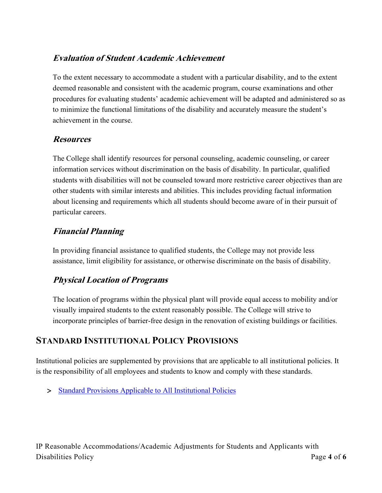## **Evaluation of Student Academic Achievement**

To the extent necessary to accommodate a student with a particular disability, and to the extent deemed reasonable and consistent with the academic program, course examinations and other procedures for evaluating students' academic achievement will be adapted and administered so as to minimize the functional limitations of the disability and accurately measure the student's achievement in the course.

#### **Resources**

The College shall identify resources for personal counseling, academic counseling, or career information services without discrimination on the basis of disability. In particular, qualified students with disabilities will not be counseled toward more restrictive career objectives than are other students with similar interests and abilities. This includes providing factual information about licensing and requirements which all students should become aware of in their pursuit of particular careers.

## **Financial Planning**

In providing financial assistance to qualified students, the College may not provide less assistance, limit eligibility for assistance, or otherwise discriminate on the basis of disability.

## **Physical Location of Programs**

The location of programs within the physical plant will provide equal access to mobility and/or visually impaired students to the extent reasonably possible. The College will strive to incorporate principles of barrier-free design in the renovation of existing buildings or facilities.

## **STANDARD INSTITUTIONAL POLICY PROVISIONS**

Institutional policies are supplemented by provisions that are applicable to all institutional policies. It is the responsibility of all employees and students to know and comply with these standards.

> [Standard Provisions Applicable to All Institutional Policies](http://www.palmer.edu/uploadedFiles/Pages/Students/Resources_and_Offices/Handbook_and_Policies/_pdf/Standard-Provisions-Applicable-to-All-Institutional-Policies.pdf)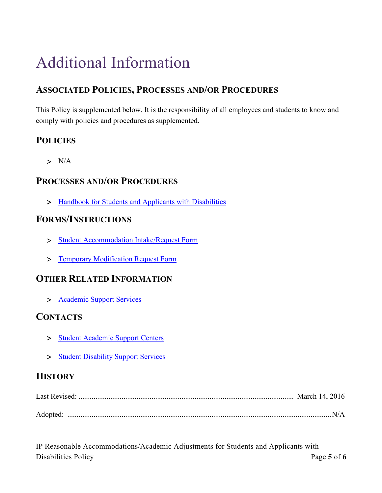## Additional Information

## **ASSOCIATED POLICIES, PROCESSES AND/OR PROCEDURES**

This Policy is supplemented below. It is the responsibility of all employees and students to know and comply with policies and procedures as supplemented.

## **POLICIES**

 $> N/A$ 

## **PROCESSES AND/OR PROCEDURES**

> [Handbook for Students and Applicants with Disabilities](http://www.palmer.edu/uploadedfiles/pages/students/academic_success/handbook-for-students-and-applicants-with-disabilities.pdf)

#### **FORMS/INSTRUCTIONS**

- > [Student Accommodation Intake/Request Form](http://www.palmer.edu/uploadedFiles/Pages/Students/Academic_Success/Final%20Accomodation%20Request%20Form%2010-4-2013.pdf)
- > [Temporary Modification Request Form](http://www.palmer.edu/uploadedFiles/Pages/Students/Academic_Success/Intake%20Temporary%20Adjustment%20Request%20Form%20Master%20Template%20Revised%20April%202015.pdf)

## **OTHER RELATED INFORMATION**

> Academic [Support Services](http://www.palmer.edu/students/academic-success/support-services/)

## **CONTACTS**

- > [Student Academic Support Centers](http://www.palmer.edu/students/academic-success/support-services/)
- > [Student Disability Support Services](http://www.palmer.edu/students/academic-success/support-services/)

## **HISTORY**

IP Reasonable Accommodations/Academic Adjustments for Students and Applicants with Disabilities Policy Page 5 of 6